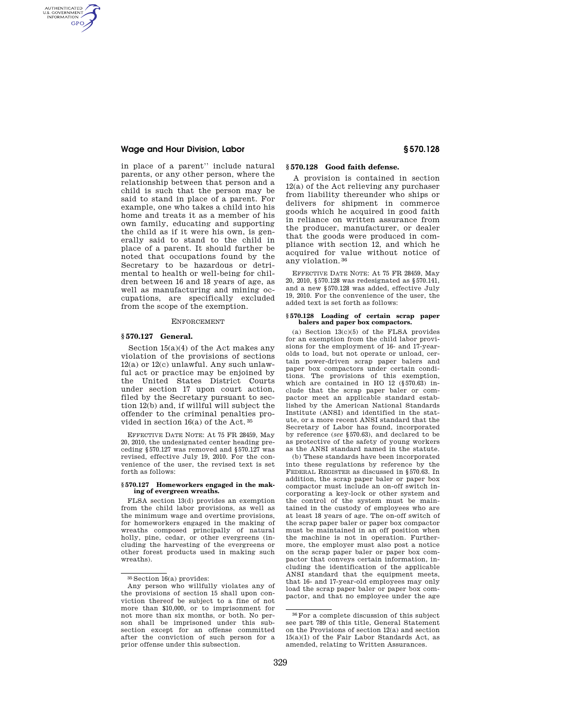# **Wage and Hour Division, Labor § 570.128**

AUTHENTICATED<br>U.S. GOVERNMENT<br>INFORMATION **GPO** 

> in place of a parent'' include natural parents, or any other person, where the relationship between that person and a child is such that the person may be said to stand in place of a parent. For example, one who takes a child into his home and treats it as a member of his own family, educating and supporting the child as if it were his own, is generally said to stand to the child in place of a parent. It should further be noted that occupations found by the Secretary to be hazardous or detrimental to health or well-being for children between 16 and 18 years of age, as well as manufacturing and mining occupations, are specifically excluded from the scope of the exemption.

## ENFORCEMENT

## **§ 570.127 General.**

Section 15(a)(4) of the Act makes any violation of the provisions of sections 12(a) or 12(c) unlawful. Any such unlawful act or practice may be enjoined by the United States District Courts under section 17 upon court action, filed by the Secretary pursuant to section 12(b) and, if willful will subject the offender to the criminal penalties provided in section 16(a) of the Act. 35

EFFECTIVE DATE NOTE: At 75 FR 28459, May 20, 2010, the undesignated center heading preceding §570.127 was removed and §570.127 was revised, effective July 19, 2010. For the convenience of the user, the revised text is set forth as follows:

### **§ 570.127 Homeworkers engaged in the making of evergreen wreaths.**

FLSA section 13(d) provides an exemption from the child labor provisions, as well as the minimum wage and overtime provisions, for homeworkers engaged in the making of wreaths composed principally of natural holly, pine, cedar, or other evergreens (including the harvesting of the evergreens or other forest products used in making such wreaths).

# **§ 570.128 Good faith defense.**

A provision is contained in section 12(a) of the Act relieving any purchaser from liability thereunder who ships or delivers for shipment in commerce goods which he acquired in good faith in reliance on written assurance from the producer, manufacturer, or dealer that the goods were produced in compliance with section 12, and which he acquired for value without notice of any violation. 36

EFFECTIVE DATE NOTE: At 75 FR 28459, May 20, 2010, §570.128 was redesignated as §570.141, and a new §570.128 was added, effective July 19, 2010. For the convenience of the user, the added text is set forth as follows:

# **§ 570.128 Loading of certain scrap paper balers and paper box compactors.**

(a) Section  $13(c)(5)$  of the FLSA provides for an exemption from the child labor provisions for the employment of 16- and 17-yearolds to load, but not operate or unload, certain power-driven scrap paper balers and paper box compactors under certain conditions. The provisions of this exemption, which are contained in HO  $12$  (§570.63) include that the scrap paper baler or compactor meet an applicable standard established by the American National Standards Institute (ANSI) and identified in the statute, or a more recent ANSI standard that the Secretary of Labor has found, incorporated by reference (*see* §570.63), and declared to be as protective of the safety of young workers as the ANSI standard named in the statute.

(b) These standards have been incorporated into these regulations by reference by the FEDERAL REGISTER as discussed in §570.63. In addition, the scrap paper baler or paper box compactor must include an on-off switch incorporating a key-lock or other system and the control of the system must be maintained in the custody of employees who are at least 18 years of age. The on-off switch of the scrap paper baler or paper box compactor must be maintained in an off position when the machine is not in operation. Furthermore, the employer must also post a notice on the scrap paper baler or paper box compactor that conveys certain information, including the identification of the applicable ANSI standard that the equipment meets, that 16- and 17-year-old employees may only load the scrap paper baler or paper box compactor, and that no employee under the age

<sup>35</sup> Section 16(a) provides:

Any person who willfully violates any of the provisions of section 15 shall upon conviction thereof be subject to a fine of not more than \$10,000, or to imprisonment for not more than six months, or both. No person shall be imprisoned under this subsection except for an offense committed after the conviction of such person for a prior offense under this subsection.

<sup>36</sup>For a complete discussion of this subject see part 789 of this title, General Statement on the Provisions of section 12(a) and section 15(a)(1) of the Fair Labor Standards Act, as amended, relating to Written Assurances.